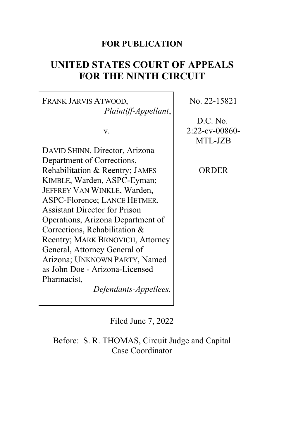## **FOR PUBLICATION**

## **UNITED STATES COURT OF APPEALS FOR THE NINTH CIRCUIT**

FRANK JARVIS ATWOOD, *Plaintiff-Appellant*,

v.

DAVID SHINN, Director, Arizona Department of Corrections, Rehabilitation & Reentry; JAMES KIMBLE, Warden, ASPC-Eyman; JEFFREY VAN WINKLE, Warden, ASPC-Florence; LANCE HETMER, Assistant Director for Prison Operations, Arizona Department of Corrections, Rehabilitation & Reentry; MARK BRNOVICH, Attorney General, Attorney General of Arizona; UNKNOWN PARTY, Named as John Doe - Arizona-Licensed Pharmacist,

*Defendants-Appellees.*

No. 22-15821

D.C. No. 2:22-cv-00860- MTL-JZB

ORDER

Filed June 7, 2022

Before: S. R. THOMAS, Circuit Judge and Capital Case Coordinator